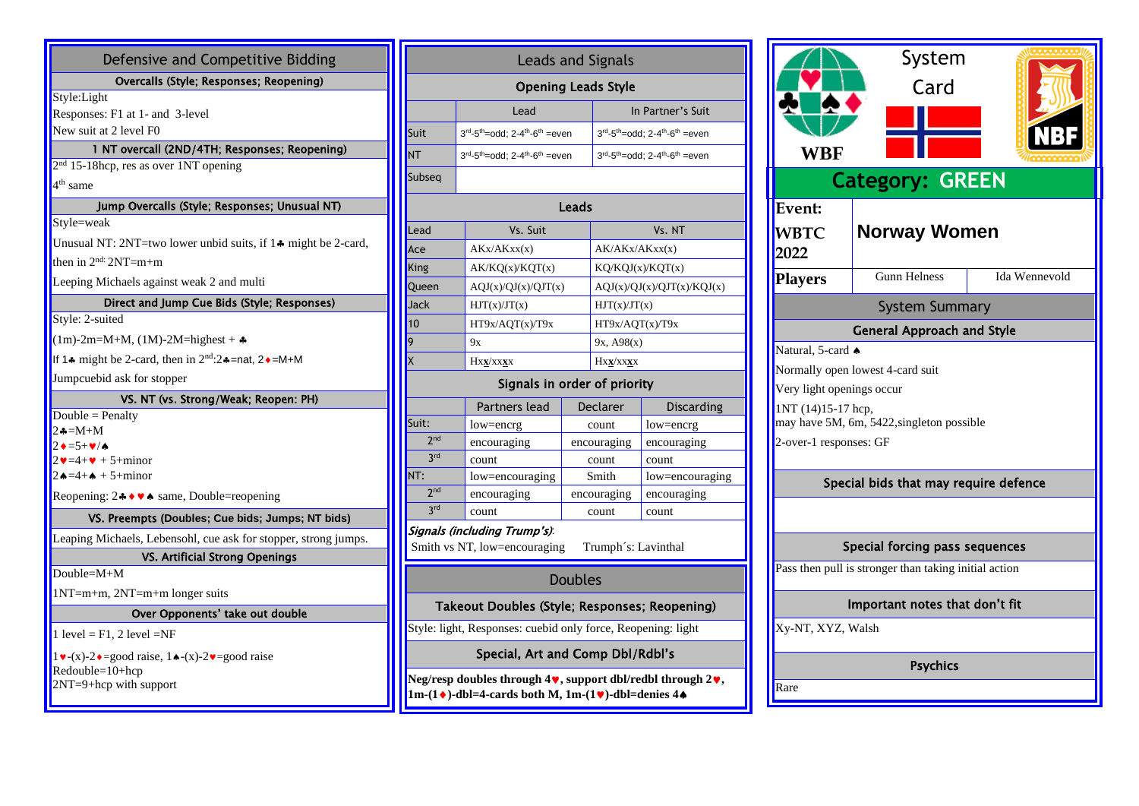| Defensive and Competitive Bidding                                                                                                                      |  |  |  |  |  |  |  |
|--------------------------------------------------------------------------------------------------------------------------------------------------------|--|--|--|--|--|--|--|
| Overcalls (Style; Responses; Reopening)                                                                                                                |  |  |  |  |  |  |  |
| Style:Light<br>Responses: F1 at 1- and 3-level<br>New suit at 2 level F0                                                                               |  |  |  |  |  |  |  |
| 1 NT overcall (2ND/4TH; Responses; Reopening)                                                                                                          |  |  |  |  |  |  |  |
| $2nd$ 15-18hcp, res as over 1NT opening                                                                                                                |  |  |  |  |  |  |  |
| 4 <sup>th</sup> same                                                                                                                                   |  |  |  |  |  |  |  |
| Jump Overcalls (Style; Responses; Unusual NT)                                                                                                          |  |  |  |  |  |  |  |
| Style=weak                                                                                                                                             |  |  |  |  |  |  |  |
| Unusual NT: 2NT=two lower unbid suits, if 1. might be 2-card,                                                                                          |  |  |  |  |  |  |  |
| then in $2nd$ : $2NT=m+m$                                                                                                                              |  |  |  |  |  |  |  |
| Leeping Michaels against weak 2 and multi                                                                                                              |  |  |  |  |  |  |  |
| Direct and Jump Cue Bids (Style; Responses)                                                                                                            |  |  |  |  |  |  |  |
| Style: 2-suited                                                                                                                                        |  |  |  |  |  |  |  |
| $(1m)$ -2m=M+M, (1M)-2M=highest + $\clubsuit$                                                                                                          |  |  |  |  |  |  |  |
| If 1.4 might be 2-card, then in $2nd:2$ . $\ast$ =nat, 2. $\ast$ =M+M                                                                                  |  |  |  |  |  |  |  |
| Jumpcuebid ask for stopper                                                                                                                             |  |  |  |  |  |  |  |
| VS. NT (vs. Strong/Weak; Reopen: PH)                                                                                                                   |  |  |  |  |  |  |  |
| Double = Penalty                                                                                                                                       |  |  |  |  |  |  |  |
| $2 - M + M$<br>$2 \cdot 5 + \cdot \cdot 4$                                                                                                             |  |  |  |  |  |  |  |
| $2\blacktriangledown = 4 + \blacktriangledown + 5 + \text{minor}$                                                                                      |  |  |  |  |  |  |  |
| $2 \cdot 4 = 4 + 6 + 5 + \text{minor}$                                                                                                                 |  |  |  |  |  |  |  |
| Reopening: $2 \cdot \cdot \cdot \cdot$ same, Double=reopening                                                                                          |  |  |  |  |  |  |  |
| VS. Preempts (Doubles; Cue bids; Jumps; NT bids)                                                                                                       |  |  |  |  |  |  |  |
| Leaping Michaels, Lebensohl, cue ask for stopper, strong jumps.                                                                                        |  |  |  |  |  |  |  |
| VS. Artificial Strong Openings                                                                                                                         |  |  |  |  |  |  |  |
| Double= $M+M$                                                                                                                                          |  |  |  |  |  |  |  |
| $1NT=m+m$ , $2NT=m+m$ longer suits                                                                                                                     |  |  |  |  |  |  |  |
| Over Opponents' take out double                                                                                                                        |  |  |  |  |  |  |  |
| $1 level = F1, 2 level = NF$                                                                                                                           |  |  |  |  |  |  |  |
| $1 \vee (x) - 2 \triangle = \text{good raise}, 1 \triangle (x) - 2 \vee = \text{good raise}$<br>Redouble=10+hcp<br>$2NT - 0$ then with our<br>$\cdots$ |  |  |  |  |  |  |  |

2NT=9+hcp with support

| <b>Leads and Signals</b>                                                                           |                                                                    |                                                                    |                                                                          |                                                                          |  |  |  |  |  |  |
|----------------------------------------------------------------------------------------------------|--------------------------------------------------------------------|--------------------------------------------------------------------|--------------------------------------------------------------------------|--------------------------------------------------------------------------|--|--|--|--|--|--|
| <b>Opening Leads Style</b>                                                                         |                                                                    |                                                                    |                                                                          |                                                                          |  |  |  |  |  |  |
|                                                                                                    | Lead                                                               |                                                                    | In Partner's Suit                                                        |                                                                          |  |  |  |  |  |  |
| Suit                                                                                               | $3^{rd} - 5^{th} = odd$ ; 2-4 <sup>th</sup> -6 <sup>th</sup> =even |                                                                    | $3^{rd}$ -5 <sup>th</sup> =odd; 2-4 <sup>th</sup> -6 <sup>th</sup> =even |                                                                          |  |  |  |  |  |  |
| <b>NT</b>                                                                                          |                                                                    | $3^{rd} - 5^{th} = odd$ ; 2-4 <sup>th</sup> -6 <sup>th</sup> =even |                                                                          | $3^{rd}$ -5 <sup>th</sup> =odd; 2-4 <sup>th</sup> -6 <sup>th</sup> =even |  |  |  |  |  |  |
| Subseq                                                                                             |                                                                    |                                                                    |                                                                          |                                                                          |  |  |  |  |  |  |
| Leads                                                                                              |                                                                    |                                                                    |                                                                          |                                                                          |  |  |  |  |  |  |
| Lead                                                                                               | Vs. Suit                                                           |                                                                    |                                                                          | Vs. NT                                                                   |  |  |  |  |  |  |
| Ace                                                                                                | AKx/AKxx(x)                                                        |                                                                    |                                                                          | AK/AKx/AKxx(x)                                                           |  |  |  |  |  |  |
| King                                                                                               | AK/KQ(x)/KQT(x)                                                    |                                                                    |                                                                          | KQ/KQJ(x)/KQT(x)                                                         |  |  |  |  |  |  |
| Queen                                                                                              |                                                                    | AQJ(x)/QJ(x)/QJT(x)                                                |                                                                          | AQJ(x)/QJ(x)/QJT(x)/KQJ(x)                                               |  |  |  |  |  |  |
| Jack                                                                                               | HJT(x)/JT(x)                                                       |                                                                    |                                                                          | HJT(x)/JT(x)                                                             |  |  |  |  |  |  |
| 10                                                                                                 | HT9x/AQT(x)/T9x                                                    |                                                                    |                                                                          | HT9x/AQT(x)/T9x                                                          |  |  |  |  |  |  |
| 9                                                                                                  | 9x                                                                 |                                                                    |                                                                          | 9x, A98(x)                                                               |  |  |  |  |  |  |
| $\mathsf{\overline{x}}$                                                                            | $Hxx/xxxx$                                                         |                                                                    |                                                                          | Hxx/xxxx                                                                 |  |  |  |  |  |  |
|                                                                                                    | Signals in order of priority                                       |                                                                    |                                                                          |                                                                          |  |  |  |  |  |  |
|                                                                                                    | Partners lead                                                      |                                                                    | Declarer                                                                 | <b>Discarding</b>                                                        |  |  |  |  |  |  |
| Suit:                                                                                              | low=encrg                                                          | count                                                              |                                                                          | low=encrg                                                                |  |  |  |  |  |  |
| 2 <sub>nd</sub>                                                                                    | encouraging                                                        | encouraging                                                        |                                                                          | encouraging                                                              |  |  |  |  |  |  |
| <b>3rd</b>                                                                                         | count                                                              | count                                                              |                                                                          | count                                                                    |  |  |  |  |  |  |
| NT:                                                                                                | low=encouraging                                                    | Smith                                                              |                                                                          | low=encouraging                                                          |  |  |  |  |  |  |
| 2 <sub>nd</sub>                                                                                    | encouraging                                                        | encouraging                                                        |                                                                          | encouraging                                                              |  |  |  |  |  |  |
|                                                                                                    | 3rd<br>count<br>count                                              |                                                                    |                                                                          | count                                                                    |  |  |  |  |  |  |
| Signals (including Trump's).<br>Smith vs NT, low=encouraging<br>Trumph's: Lavinthal                |                                                                    |                                                                    |                                                                          |                                                                          |  |  |  |  |  |  |
| <b>Doubles</b>                                                                                     |                                                                    |                                                                    |                                                                          |                                                                          |  |  |  |  |  |  |
| Takeout Doubles (Style; Responses; Reopening)                                                      |                                                                    |                                                                    |                                                                          |                                                                          |  |  |  |  |  |  |
| Style: light, Responses: cuebid only force, Reopening: light                                       |                                                                    |                                                                    |                                                                          |                                                                          |  |  |  |  |  |  |
| Special, Art and Comp Dbl/Rdbl's                                                                   |                                                                    |                                                                    |                                                                          |                                                                          |  |  |  |  |  |  |
| Neg/resp doubles through $4\blacktriangledown$ , support dbl/redbl through $2\blacktriangledown$ , |                                                                    |                                                                    |                                                                          |                                                                          |  |  |  |  |  |  |

**1m-(1)-dbl=4-cards both M, 1m-(1)-dbl=denies 4**

System Card **Category: GREEN Event: WBTC 2022 Norway Women Players** Gunn Helness Ida Wennevold System Summary General Approach and Style Natural, 5-card  $\triangle$ Normally open lowest 4-card suit Very light openings occur  $1NT (14)15-17$  hcp, may have 5M, 6m, 5422, singleton possible 2-over-1 responses: GF Special bids that may require defence Special forcing pass sequences Pass then pull is stronger than taking initial action Important notes that don't fit Xy-NT, XYZ, Walsh Psychics Rare **WBF**